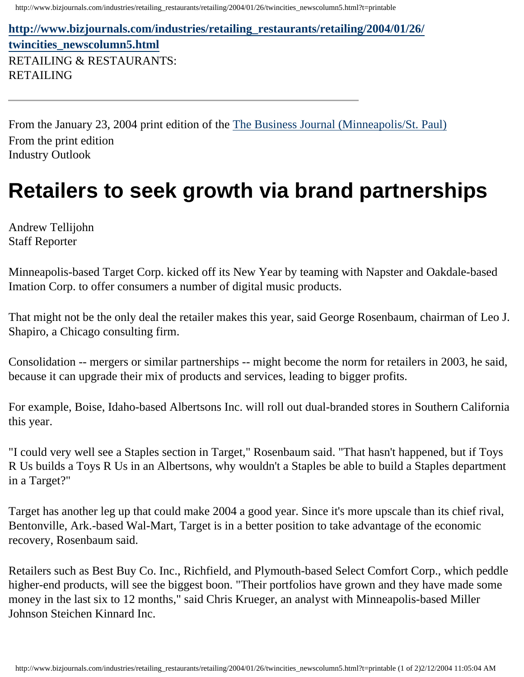http://www.bizjournals.com/industries/retailing\_restaurants/retailing/2004/01/26/twincities\_newscolumn5.html?t=printable

**[http://www.bizjournals.com/industries/retailing\\_restaurants/retailing/2004/01/26/](http://www.bizjournals.com/industries/retailing_restaurants/retailing/2004/01/26/twincities_newscolumn5.html) [twincities\\_newscolumn5.html](http://www.bizjournals.com/industries/retailing_restaurants/retailing/2004/01/26/twincities_newscolumn5.html)** RETAILING & RESTAURANTS: RETAILING

From the January 23, 2004 print edition of the [The Business Journal \(Minneapolis/St. Paul\)](http://www.bizjournals.com/twincities/) From the print edition Industry Outlook

## **Retailers to seek growth via brand partnerships**

Andrew Tellijohn Staff Reporter

Minneapolis-based Target Corp. kicked off its New Year by teaming with Napster and Oakdale-based Imation Corp. to offer consumers a number of digital music products.

That might not be the only deal the retailer makes this year, said George Rosenbaum, chairman of Leo J. Shapiro, a Chicago consulting firm.

Consolidation -- mergers or similar partnerships -- might become the norm for retailers in 2003, he said, because it can upgrade their mix of products and services, leading to bigger profits.

For example, Boise, Idaho-based Albertsons Inc. will roll out dual-branded stores in Southern California this year.

"I could very well see a Staples section in Target," Rosenbaum said. "That hasn't happened, but if Toys R Us builds a Toys R Us in an Albertsons, why wouldn't a Staples be able to build a Staples department in a Target?"

Target has another leg up that could make 2004 a good year. Since it's more upscale than its chief rival, Bentonville, Ark.-based Wal-Mart, Target is in a better position to take advantage of the economic recovery, Rosenbaum said.

Retailers such as Best Buy Co. Inc., Richfield, and Plymouth-based Select Comfort Corp., which peddle higher-end products, will see the biggest boon. "Their portfolios have grown and they have made some money in the last six to 12 months," said Chris Krueger, an analyst with Minneapolis-based Miller Johnson Steichen Kinnard Inc.